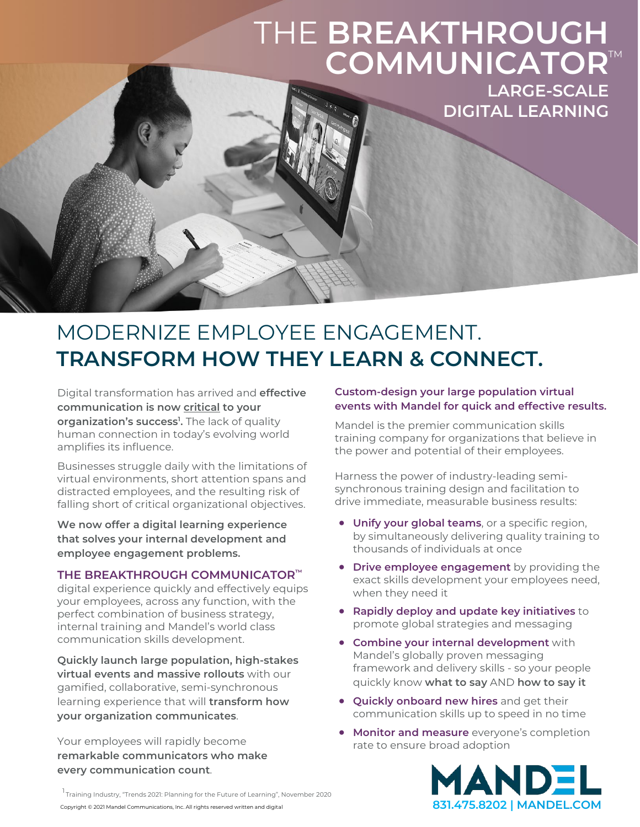# THE **BREAKTHROUGH**  COMMUNICATOR<sup>™</sup>

**LARGE-SCALE DIGITAL LEARNING**

### MODERNIZE EMPLOYEE ENGAGEMENT. **TRANSFORM HOW THEY LEARN & CONNECT.**

Digital transformation has arrived and **effective communication is now critical to your organization's success1 .** The lack of quality human connection in today's evolving world amplifies its influence.

Businesses struggle daily with the limitations of virtual environments, short attention spans and distracted employees, and the resulting risk of falling short of critical organizational objectives.

**We now offer a digital learning experience that solves your internal development and employee engagement problems.**

#### **THE BREAKTHROUGH COMMUNICATOR™**

digital experience quickly and effectively equips your employees, across any function, with the perfect combination of business strategy, internal training and Mandel's world class communication skills development.

**Quickly launch large population, high-stakes virtual events and massive rollouts** with our gamified, collaborative, semi-synchronous learning experience that will **transform how your organization communicates**.

Your employees will rapidly become **remarkable communicators who make every communication count**.

#### **Custom-design your large population virtual events with Mandel for quick and effective results.**

Mandel is the premier communication skills training company for organizations that believe in the power and potential of their employees.

Harness the power of industry-leading semisynchronous training design and facilitation to drive immediate, measurable business results:

- **Unify your global teams**, or a specific region, by simultaneously delivering quality training to thousands of individuals at once
- **Drive employee engagement** by providing the exact skills development your employees need, when they need it
- **Rapidly deploy and update key initiatives** to promote global strategies and messaging
- **Combine your internal development** with Mandel's globally proven messaging framework and delivery skills - so your people quickly know **what to say** AND **how to say it**
- **Quickly onboard new hires** and get their communication skills up to speed in no time
- **Monitor and measure** everyone's completion rate to ensure broad adoption



Copyright © 2021 Mandel Communications, Inc. All rights reserved written and digital **831.475.8202 | [MANDEL.COM](https://www.mandel.com/workshops/virtual-workshops)** 1<br>Training Industry, "Trends 2021: Planning for the Future of Learning", November 2020